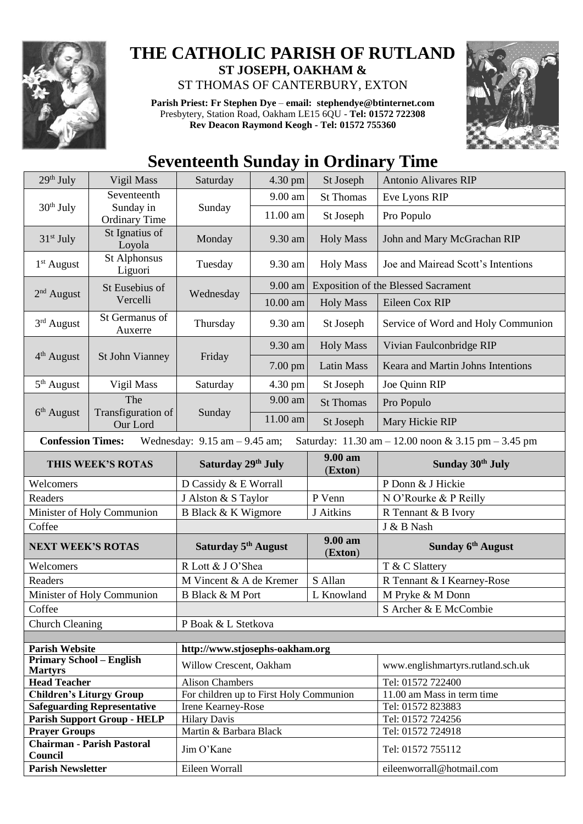

## **THE CATHOLIC PARISH OF RUTLAND ST JOSEPH, OAKHAM &**  ST THOMAS OF CANTERBURY, EXTON

**Parish Priest: Fr Stephen Dye** – **[email: stephendye@btinternet.com](mailto:email:%20%20stephendye@btinternet.com)** Presbytery, Station Road, Oakham LE15 6QU - **Tel: 01572 722308 Rev Deacon Raymond Keogh - Tel: 01572 755360**



## **Seventeenth Sunday in Ordinary Time**

| 29 <sup>th</sup> July                             | Vigil Mass                         | Saturday                                | 4.30 pm    | St Joseph                                  | <b>Antonio Alivares RIP</b>                         |
|---------------------------------------------------|------------------------------------|-----------------------------------------|------------|--------------------------------------------|-----------------------------------------------------|
|                                                   | Seventeenth                        |                                         | 9.00 am    | <b>St Thomas</b>                           | Eve Lyons RIP                                       |
| $30th$ July                                       | Sunday in<br><b>Ordinary Time</b>  | Sunday                                  | 11.00 am   | St Joseph                                  | Pro Populo                                          |
| $31st$ July                                       | St Ignatius of<br>Loyola           | Monday                                  | 9.30 am    | <b>Holy Mass</b>                           | John and Mary McGrachan RIP                         |
| $1st$ August                                      | St Alphonsus<br>Liguori            | Tuesday                                 | 9.30 am    | <b>Holy Mass</b>                           | Joe and Mairead Scott's Intentions                  |
| $2nd$ August                                      | St Eusebius of<br>Vercelli         | Wednesday                               | 9.00 am    | <b>Exposition of the Blessed Sacrament</b> |                                                     |
|                                                   |                                    |                                         | $10.00$ am | <b>Holy Mass</b>                           | Eileen Cox RIP                                      |
| 3rd August                                        | St Germanus of<br>Auxerre          | Thursday                                | 9.30 am    | St Joseph                                  | Service of Word and Holy Communion                  |
|                                                   | St John Vianney                    | Friday                                  | 9.30 am    | <b>Holy Mass</b>                           | Vivian Faulconbridge RIP                            |
| 4 <sup>th</sup> August                            |                                    |                                         | 7.00 pm    | <b>Latin Mass</b>                          | Keara and Martin Johns Intentions                   |
| 5 <sup>th</sup> August                            | Vigil Mass                         | Saturday                                | 4.30 pm    | St Joseph                                  | Joe Quinn RIP                                       |
|                                                   | The                                |                                         | 9.00 am    | <b>St Thomas</b>                           | Pro Populo                                          |
| 6 <sup>th</sup> August                            | Transfiguration of<br>Our Lord     | Sunday                                  | 11.00 am   | St Joseph                                  | Mary Hickie RIP                                     |
| <b>Confession Times:</b>                          |                                    | Wednesday: $9.15$ am $-9.45$ am;        |            |                                            | Saturday: 11.30 am - 12.00 noon & 3.15 pm - 3.45 pm |
| THIS WEEK'S ROTAS                                 |                                    | Saturday 29th July                      |            | 9.00 am<br>(Exton)                         | Sunday 30th July                                    |
| Welcomers                                         |                                    | D Cassidy & E Worrall                   |            |                                            |                                                     |
|                                                   |                                    |                                         |            |                                            | P Donn & J Hickie                                   |
| Readers                                           |                                    | J Alston & S Taylor                     |            | P Venn                                     | N O'Rourke & P Reilly                               |
|                                                   | Minister of Holy Communion         | B Black & K Wigmore                     |            | J Aitkins                                  | R Tennant & B Ivory                                 |
| Coffee                                            |                                    |                                         |            |                                            | J & B Nash                                          |
| <b>NEXT WEEK'S ROTAS</b>                          |                                    | Saturday 5 <sup>th</sup> August         |            | 9.00 am<br>(Exton)                         | Sunday 6 <sup>th</sup> August                       |
| Welcomers                                         |                                    | R Lott & J O'Shea                       |            |                                            | T & C Slattery                                      |
| Readers                                           |                                    | M Vincent & A de Kremer                 |            | S Allan                                    | R Tennant & I Kearney-Rose                          |
|                                                   | Minister of Holy Communion         | <b>B Black &amp; M Port</b>             |            | L Knowland                                 | M Pryke & M Donn                                    |
| Coffee                                            |                                    |                                         |            |                                            | S Archer & E McCombie                               |
| <b>Church Cleaning</b>                            |                                    | P Boak & L Stetkova                     |            |                                            |                                                     |
|                                                   |                                    |                                         |            |                                            |                                                     |
| <b>Parish Website</b>                             |                                    | http://www.stjosephs-oakham.org         |            |                                            |                                                     |
| <b>Primary School - English</b><br><b>Martyrs</b> |                                    | Willow Crescent, Oakham                 |            |                                            | www.englishmartyrs.rutland.sch.uk                   |
| <b>Head Teacher</b>                               |                                    | <b>Alison Chambers</b>                  |            |                                            | Tel: 01572 722400                                   |
| <b>Children's Liturgy Group</b>                   |                                    | For children up to First Holy Communion |            |                                            | 11.00 am Mass in term time                          |
|                                                   | <b>Safeguarding Representative</b> | Irene Kearney-Rose                      |            |                                            | Tel: 01572 823883                                   |
|                                                   | <b>Parish Support Group - HELP</b> | <b>Hilary Davis</b>                     |            |                                            | Tel: 01572 724256                                   |
| <b>Prayer Groups</b>                              | <b>Chairman - Parish Pastoral</b>  | Martin & Barbara Black<br>Jim O'Kane    |            |                                            | Tel: 01572 724918<br>Tel: 01572 755112              |
| Council<br><b>Parish Newsletter</b>               |                                    | Eileen Worrall                          |            |                                            | eileenworrall@hotmail.com                           |